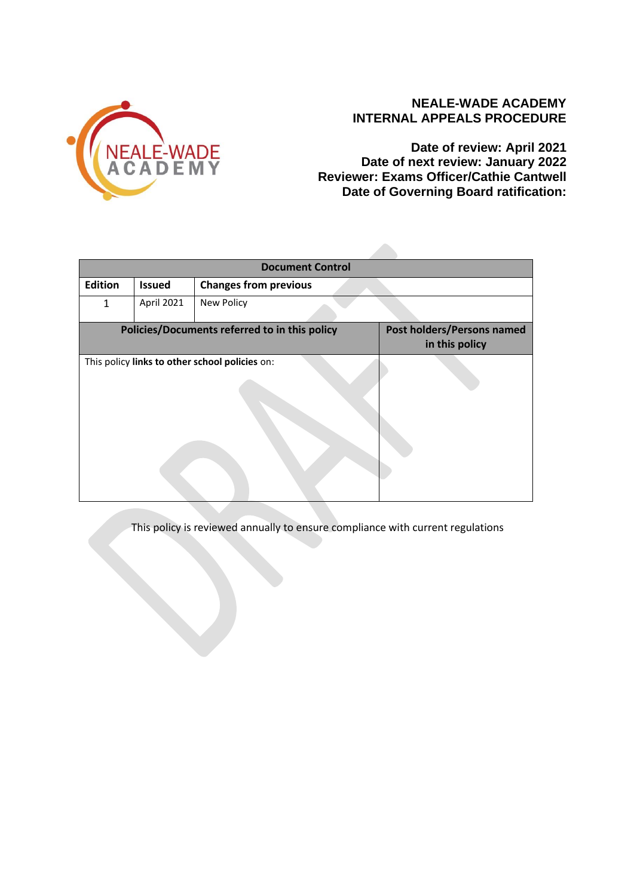

# **NEALE-WADE ACADEMY INTERNAL APPEALS PROCEDURE**

**Date of review: April 2021 Date of next review: January 2022 Reviewer: Exams Officer/Cathie Cantwell Date of Governing Board ratification:** 

| <b>Document Control</b> |                                                |                                                     |  |  |  |  |
|-------------------------|------------------------------------------------|-----------------------------------------------------|--|--|--|--|
| Edition                 | <b>Issued</b>                                  | <b>Changes from previous</b>                        |  |  |  |  |
| $\mathbf{1}$            | April 2021                                     | <b>New Policy</b>                                   |  |  |  |  |
|                         | Policies/Documents referred to in this policy  | <b>Post holders/Persons named</b><br>in this policy |  |  |  |  |
|                         | This policy links to other school policies on: |                                                     |  |  |  |  |

This policy is reviewed annually to ensure compliance with current regulations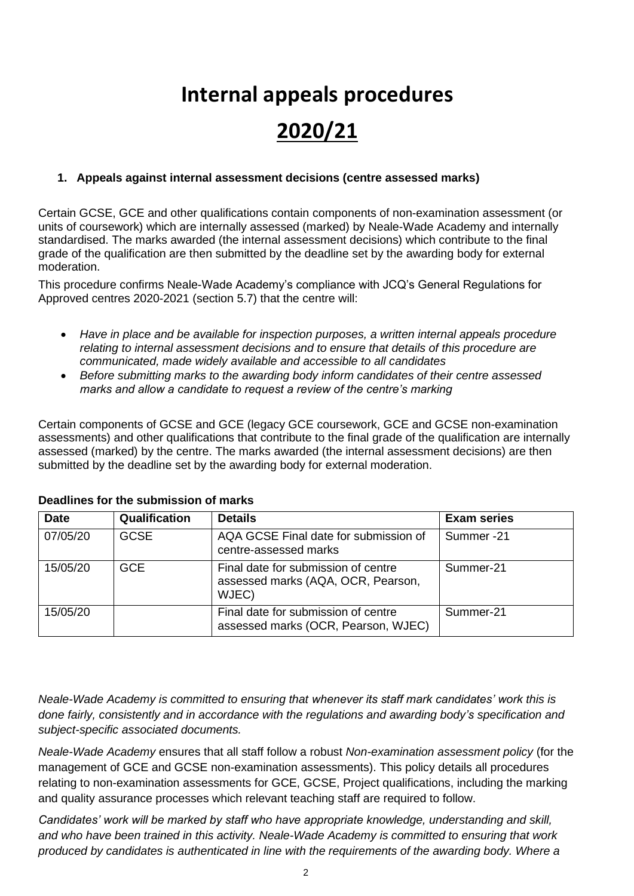# **Internal appeals procedures 2020/21**

## **1. Appeals against internal assessment decisions (centre assessed marks)**

Certain GCSE, GCE and other qualifications contain components of non-examination assessment (or units of coursework) which are internally assessed (marked) by Neale-Wade Academy and internally standardised. The marks awarded (the internal assessment decisions) which contribute to the final grade of the qualification are then submitted by the deadline set by the awarding body for external moderation.

This procedure confirms Neale-Wade Academy's compliance with JCQ's General Regulations for Approved centres 2020-2021 (section 5.7) that the centre will:

- *Have in place and be available for inspection purposes, a written internal appeals procedure relating to internal assessment decisions and to ensure that details of this procedure are communicated, made widely available and accessible to all candidates*
- *Before submitting marks to the awarding body inform candidates of their centre assessed marks and allow a candidate to request a review of the centre's marking*

Certain components of GCSE and GCE (legacy GCE coursework, GCE and GCSE non-examination assessments) and other qualifications that contribute to the final grade of the qualification are internally assessed (marked) by the centre. The marks awarded (the internal assessment decisions) are then submitted by the deadline set by the awarding body for external moderation.

| <b>Date</b> | Qualification | <b>Details</b>                                                                     | <b>Exam series</b> |
|-------------|---------------|------------------------------------------------------------------------------------|--------------------|
| 07/05/20    | <b>GCSE</b>   | AQA GCSE Final date for submission of<br>centre-assessed marks                     | Summer-21          |
| 15/05/20    | <b>GCE</b>    | Final date for submission of centre<br>assessed marks (AQA, OCR, Pearson,<br>WJEC) | Summer-21          |
| 15/05/20    |               | Final date for submission of centre<br>assessed marks (OCR, Pearson, WJEC)         | Summer-21          |

#### **Deadlines for the submission of marks**

*Neale-Wade Academy is committed to ensuring that whenever its staff mark candidates' work this is done fairly, consistently and in accordance with the regulations and awarding body's specification and subject-specific associated documents.*

*Neale-Wade Academy* ensures that all staff follow a robust *Non-examination assessment policy* (for the management of GCE and GCSE non-examination assessments). This policy details all procedures relating to non-examination assessments for GCE, GCSE, Project qualifications, including the marking and quality assurance processes which relevant teaching staff are required to follow.

*Candidates' work will be marked by staff who have appropriate knowledge, understanding and skill, and who have been trained in this activity. Neale-Wade Academy is committed to ensuring that work produced by candidates is authenticated in line with the requirements of the awarding body. Where a*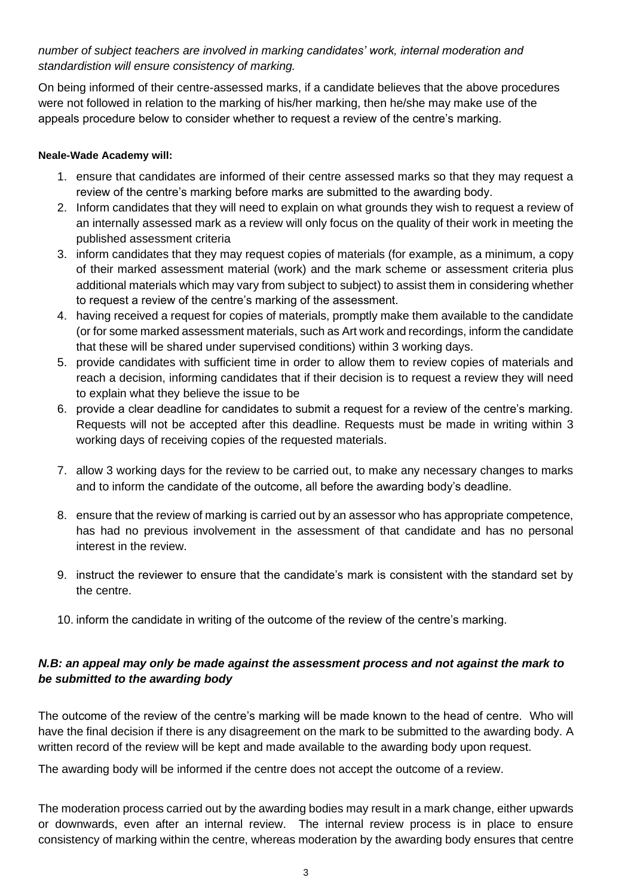*number of subject teachers are involved in marking candidates' work, internal moderation and standardistion will ensure consistency of marking.*

On being informed of their centre-assessed marks, if a candidate believes that the above procedures were not followed in relation to the marking of his/her marking, then he/she may make use of the appeals procedure below to consider whether to request a review of the centre's marking.

#### **Neale-Wade Academy will:**

- 1. ensure that candidates are informed of their centre assessed marks so that they may request a review of the centre's marking before marks are submitted to the awarding body.
- 2. Inform candidates that they will need to explain on what grounds they wish to request a review of an internally assessed mark as a review will only focus on the quality of their work in meeting the published assessment criteria
- 3. inform candidates that they may request copies of materials (for example, as a minimum, a copy of their marked assessment material (work) and the mark scheme or assessment criteria plus additional materials which may vary from subject to subject) to assist them in considering whether to request a review of the centre's marking of the assessment.
- 4. having received a request for copies of materials, promptly make them available to the candidate (or for some marked assessment materials, such as Art work and recordings, inform the candidate that these will be shared under supervised conditions) within 3 working days.
- 5. provide candidates with sufficient time in order to allow them to review copies of materials and reach a decision, informing candidates that if their decision is to request a review they will need to explain what they believe the issue to be
- 6. provide a clear deadline for candidates to submit a request for a review of the centre's marking. Requests will not be accepted after this deadline. Requests must be made in writing within 3 working days of receiving copies of the requested materials.
- 7. allow 3 working days for the review to be carried out, to make any necessary changes to marks and to inform the candidate of the outcome, all before the awarding body's deadline.
- 8. ensure that the review of marking is carried out by an assessor who has appropriate competence, has had no previous involvement in the assessment of that candidate and has no personal interest in the review.
- 9. instruct the reviewer to ensure that the candidate's mark is consistent with the standard set by the centre.
- 10. inform the candidate in writing of the outcome of the review of the centre's marking.

#### *N.B: an appeal may only be made against the assessment process and not against the mark to be submitted to the awarding body*

The outcome of the review of the centre's marking will be made known to the head of centre. Who will have the final decision if there is any disagreement on the mark to be submitted to the awarding body. A written record of the review will be kept and made available to the awarding body upon request.

The awarding body will be informed if the centre does not accept the outcome of a review.

The moderation process carried out by the awarding bodies may result in a mark change, either upwards or downwards, even after an internal review. The internal review process is in place to ensure consistency of marking within the centre, whereas moderation by the awarding body ensures that centre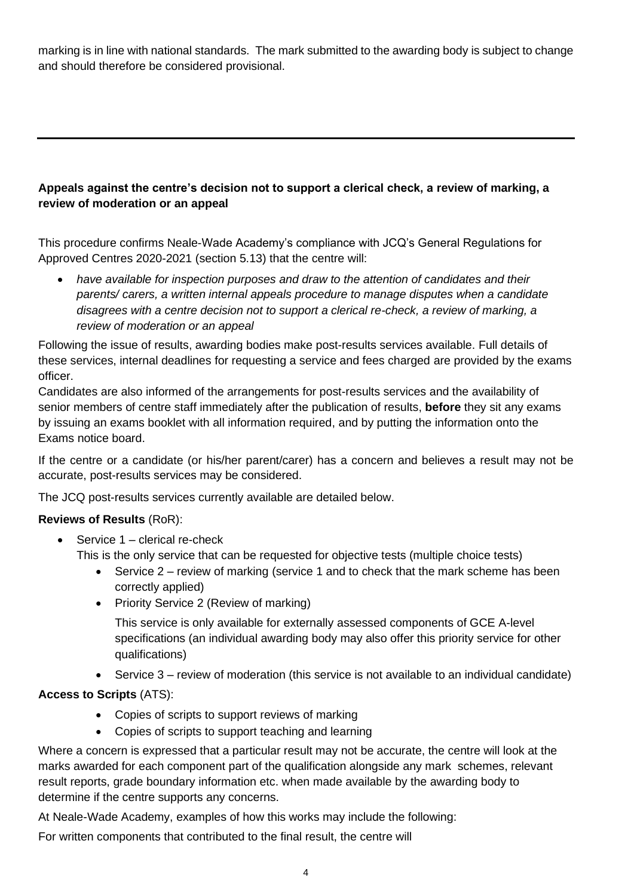marking is in line with national standards. The mark submitted to the awarding body is subject to change and should therefore be considered provisional.

## **Appeals against the centre's decision not to support a clerical check, a review of marking, a review of moderation or an appeal**

This procedure confirms Neale-Wade Academy's compliance with JCQ's General Regulations for Approved Centres 2020-2021 (section 5.13) that the centre will:

• *have available for inspection purposes and draw to the attention of candidates and their parents/ carers, a written internal appeals procedure to manage disputes when a candidate disagrees with a centre decision not to support a clerical re-check, a review of marking, a review of moderation or an appeal*

Following the issue of results, awarding bodies make post-results services available. Full details of these services, internal deadlines for requesting a service and fees charged are provided by the exams officer.

Candidates are also informed of the arrangements for post-results services and the availability of senior members of centre staff immediately after the publication of results, **before** they sit any exams by issuing an exams booklet with all information required, and by putting the information onto the Exams notice board.

If the centre or a candidate (or his/her parent/carer) has a concern and believes a result may not be accurate, post-results services may be considered.

The JCQ post-results services currently available are detailed below.

#### **Reviews of Results** (RoR):

- Service  $1$  clerical re-check This is the only service that can be requested for objective tests (multiple choice tests)
	- Service 2 review of marking (service 1 and to check that the mark scheme has been correctly applied)
	- Priority Service 2 (Review of marking)

This service is only available for externally assessed components of GCE A-level specifications (an individual awarding body may also offer this priority service for other qualifications)

• Service 3 – review of moderation (this service is not available to an individual candidate)

#### **Access to Scripts** (ATS):

- Copies of scripts to support reviews of marking
- Copies of scripts to support teaching and learning

Where a concern is expressed that a particular result may not be accurate, the centre will look at the marks awarded for each component part of the qualification alongside any mark schemes, relevant result reports, grade boundary information etc. when made available by the awarding body to determine if the centre supports any concerns.

At Neale-Wade Academy, examples of how this works may include the following:

For written components that contributed to the final result, the centre will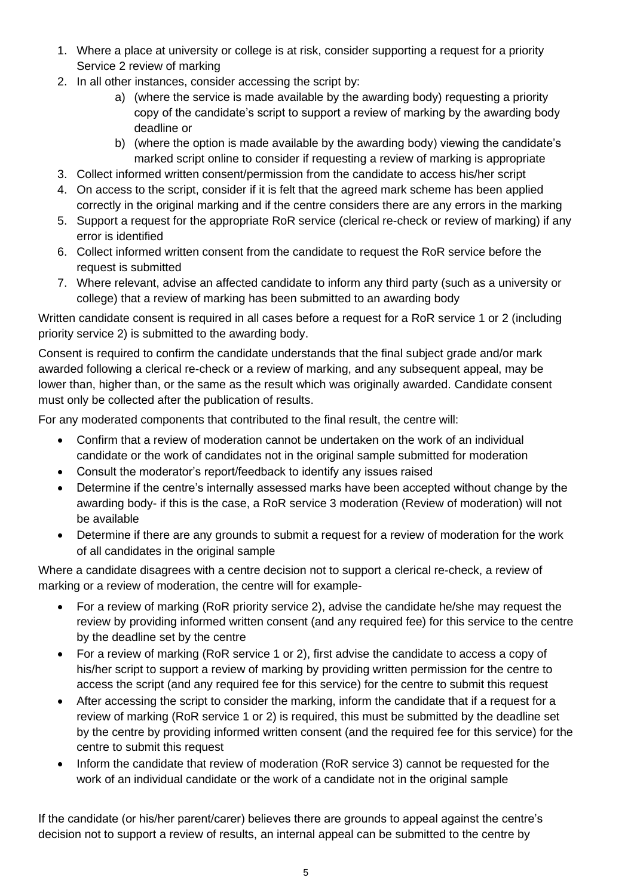- 1. Where a place at university or college is at risk, consider supporting a request for a priority Service 2 review of marking
- 2. In all other instances, consider accessing the script by:
	- a) (where the service is made available by the awarding body) requesting a priority copy of the candidate's script to support a review of marking by the awarding body deadline or
	- b) (where the option is made available by the awarding body) viewing the candidate's marked script online to consider if requesting a review of marking is appropriate
- 3. Collect informed written consent/permission from the candidate to access his/her script
- 4. On access to the script, consider if it is felt that the agreed mark scheme has been applied correctly in the original marking and if the centre considers there are any errors in the marking
- 5. Support a request for the appropriate RoR service (clerical re-check or review of marking) if any error is identified
- 6. Collect informed written consent from the candidate to request the RoR service before the request is submitted
- 7. Where relevant, advise an affected candidate to inform any third party (such as a university or college) that a review of marking has been submitted to an awarding body

Written candidate consent is required in all cases before a request for a RoR service 1 or 2 (including priority service 2) is submitted to the awarding body.

Consent is required to confirm the candidate understands that the final subject grade and/or mark awarded following a clerical re-check or a review of marking, and any subsequent appeal, may be lower than, higher than, or the same as the result which was originally awarded. Candidate consent must only be collected after the publication of results.

For any moderated components that contributed to the final result, the centre will:

- Confirm that a review of moderation cannot be undertaken on the work of an individual candidate or the work of candidates not in the original sample submitted for moderation
- Consult the moderator's report/feedback to identify any issues raised
- Determine if the centre's internally assessed marks have been accepted without change by the awarding body- if this is the case, a RoR service 3 moderation (Review of moderation) will not be available
- Determine if there are any grounds to submit a request for a review of moderation for the work of all candidates in the original sample

Where a candidate disagrees with a centre decision not to support a clerical re-check, a review of marking or a review of moderation, the centre will for example-

- For a review of marking (RoR priority service 2), advise the candidate he/she may request the review by providing informed written consent (and any required fee) for this service to the centre by the deadline set by the centre
- For a review of marking (RoR service 1 or 2), first advise the candidate to access a copy of his/her script to support a review of marking by providing written permission for the centre to access the script (and any required fee for this service) for the centre to submit this request
- After accessing the script to consider the marking, inform the candidate that if a request for a review of marking (RoR service 1 or 2) is required, this must be submitted by the deadline set by the centre by providing informed written consent (and the required fee for this service) for the centre to submit this request
- Inform the candidate that review of moderation (RoR service 3) cannot be requested for the work of an individual candidate or the work of a candidate not in the original sample

If the candidate (or his/her parent/carer) believes there are grounds to appeal against the centre's decision not to support a review of results, an internal appeal can be submitted to the centre by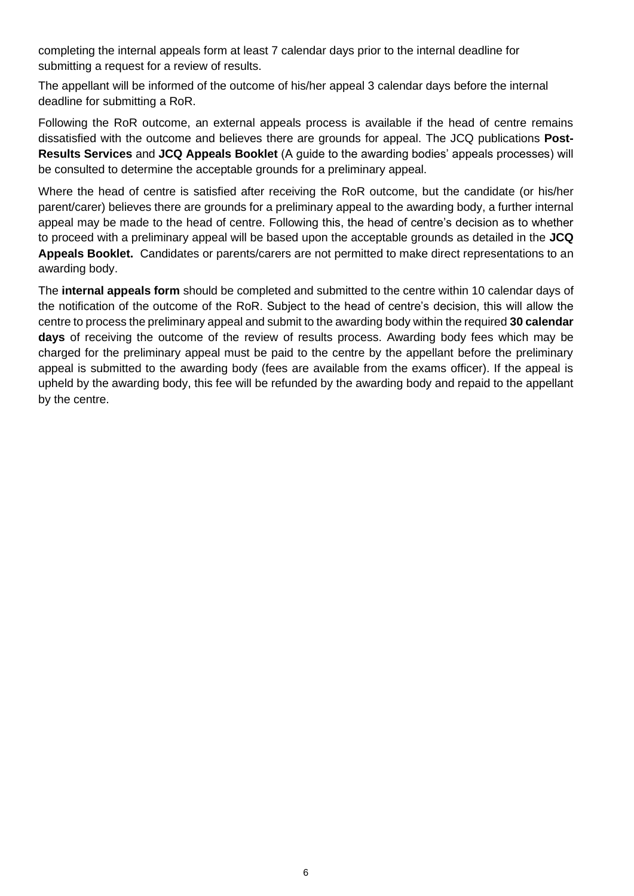completing the internal appeals form at least 7 calendar days prior to the internal deadline for submitting a request for a review of results.

The appellant will be informed of the outcome of his/her appeal 3 calendar days before the internal deadline for submitting a RoR.

Following the RoR outcome, an external appeals process is available if the head of centre remains dissatisfied with the outcome and believes there are grounds for appeal. The JCQ publications **Post-Results Services** and **JCQ Appeals Booklet** (A guide to the awarding bodies' appeals processes) will be consulted to determine the acceptable grounds for a preliminary appeal.

Where the head of centre is satisfied after receiving the RoR outcome, but the candidate (or his/her parent/carer) believes there are grounds for a preliminary appeal to the awarding body, a further internal appeal may be made to the head of centre. Following this, the head of centre's decision as to whether to proceed with a preliminary appeal will be based upon the acceptable grounds as detailed in the **JCQ Appeals Booklet.** Candidates or parents/carers are not permitted to make direct representations to an awarding body.

The **internal appeals form** should be completed and submitted to the centre within 10 calendar days of the notification of the outcome of the RoR. Subject to the head of centre's decision, this will allow the centre to process the preliminary appeal and submit to the awarding body within the required **30 calendar days** of receiving the outcome of the review of results process. Awarding body fees which may be charged for the preliminary appeal must be paid to the centre by the appellant before the preliminary appeal is submitted to the awarding body (fees are available from the exams officer). If the appeal is upheld by the awarding body, this fee will be refunded by the awarding body and repaid to the appellant by the centre.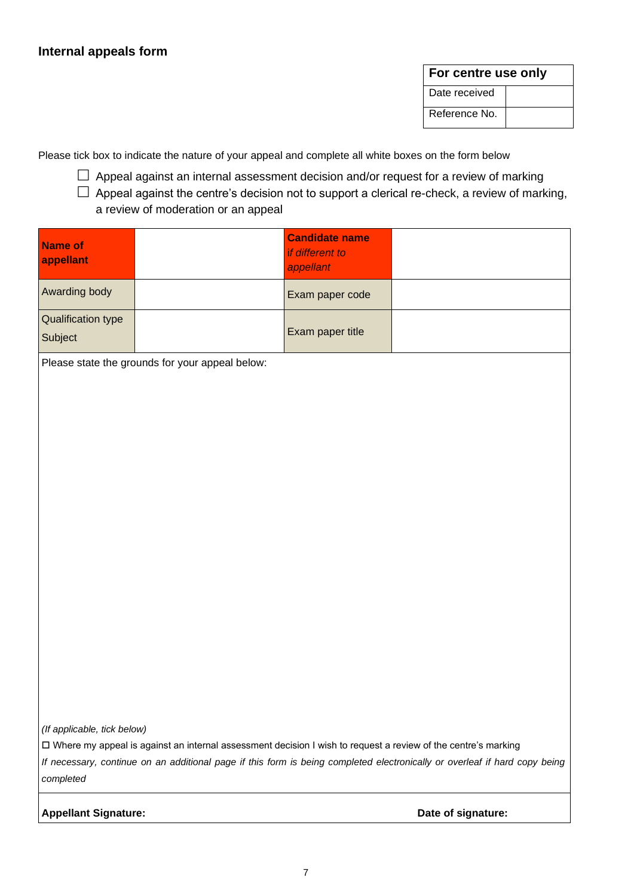#### **For centre use only**

Date received Reference No.

Please tick box to indicate the nature of your appeal and complete all white boxes on the form below

- $\Box$  Appeal against an internal assessment decision and/or request for a review of marking
- $\Box$  Appeal against the centre's decision not to support a clerical re-check, a review of marking, a review of moderation or an appeal

| <b>Name of</b><br>appellant                     |  | <b>Candidate name</b><br>if different to<br>appellant |  |  |  |  |
|-------------------------------------------------|--|-------------------------------------------------------|--|--|--|--|
| Awarding body                                   |  | Exam paper code                                       |  |  |  |  |
| Qualification type<br>Subject                   |  | Exam paper title                                      |  |  |  |  |
| Please state the grounds for your appeal below: |  |                                                       |  |  |  |  |
|                                                 |  |                                                       |  |  |  |  |
|                                                 |  |                                                       |  |  |  |  |
|                                                 |  |                                                       |  |  |  |  |
|                                                 |  |                                                       |  |  |  |  |
|                                                 |  |                                                       |  |  |  |  |
|                                                 |  |                                                       |  |  |  |  |
|                                                 |  |                                                       |  |  |  |  |

*(If applicable, tick below)*

Where my appeal is against an internal assessment decision I wish to request a review of the centre's marking

*If necessary, continue on an additional page if this form is being completed electronically or overleaf if hard copy being completed*

Appellant Signature: **Date of signature: Date of signature:**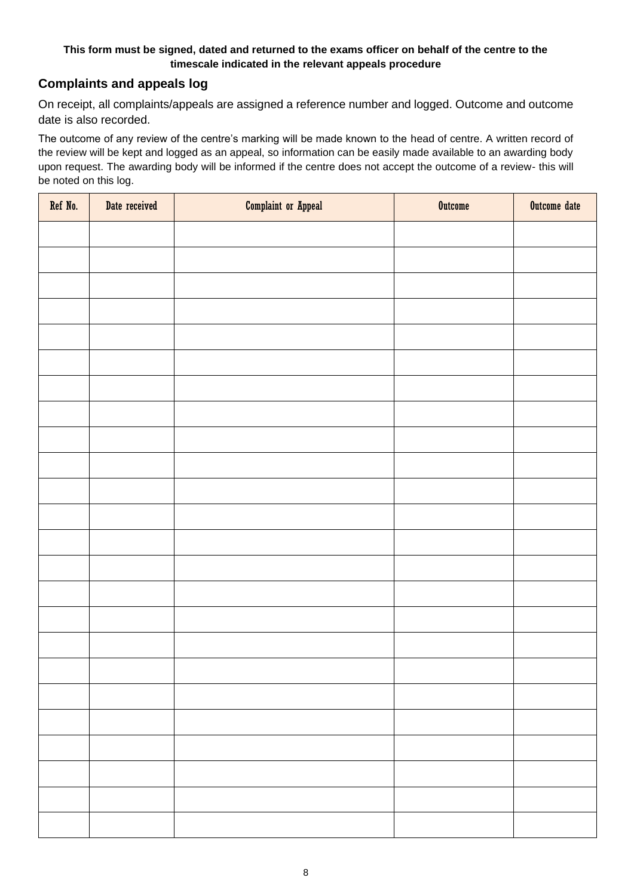#### **This form must be signed, dated and returned to the exams officer on behalf of the centre to the timescale indicated in the relevant appeals procedure**

### **Complaints and appeals log**

On receipt, all complaints/appeals are assigned a reference number and logged. Outcome and outcome date is also recorded.

The outcome of any review of the centre's marking will be made known to the head of centre. A written record of the review will be kept and logged as an appeal, so information can be easily made available to an awarding body upon request. The awarding body will be informed if the centre does not accept the outcome of a review- this will be noted on this log.

| Ref No. | Date received | <b>Complaint or Appeal</b> | <b>Outcome</b> | Outcome date |
|---------|---------------|----------------------------|----------------|--------------|
|         |               |                            |                |              |
|         |               |                            |                |              |
|         |               |                            |                |              |
|         |               |                            |                |              |
|         |               |                            |                |              |
|         |               |                            |                |              |
|         |               |                            |                |              |
|         |               |                            |                |              |
|         |               |                            |                |              |
|         |               |                            |                |              |
|         |               |                            |                |              |
|         |               |                            |                |              |
|         |               |                            |                |              |
|         |               |                            |                |              |
|         |               |                            |                |              |
|         |               |                            |                |              |
|         |               |                            |                |              |
|         |               |                            |                |              |
|         |               |                            |                |              |
|         |               |                            |                |              |
|         |               |                            |                |              |
|         |               |                            |                |              |
|         |               |                            |                |              |
|         |               |                            |                |              |